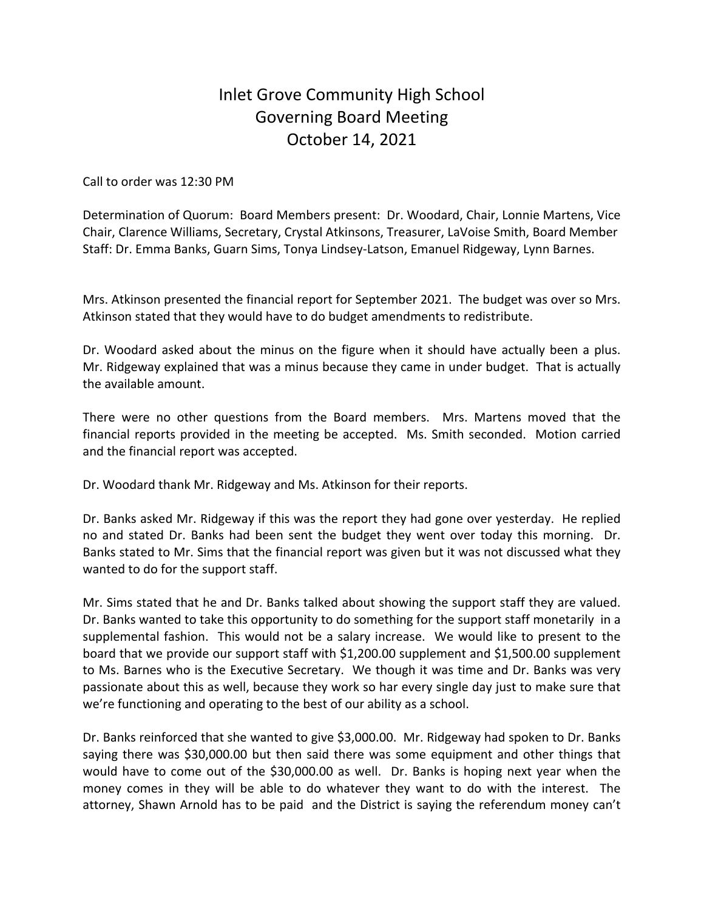## Inlet Grove Community High School Governing Board Meeting October 14, 2021

Call to order was 12:30 PM

Determination of Quorum: Board Members present: Dr. Woodard, Chair, Lonnie Martens, Vice Chair, Clarence Williams, Secretary, Crystal Atkinsons, Treasurer, LaVoise Smith, Board Member Staff: Dr. Emma Banks, Guarn Sims, Tonya Lindsey-Latson, Emanuel Ridgeway, Lynn Barnes.

Mrs. Atkinson presented the financial report for September 2021. The budget was over so Mrs. Atkinson stated that they would have to do budget amendments to redistribute.

Dr. Woodard asked about the minus on the figure when it should have actually been a plus. Mr. Ridgeway explained that was a minus because they came in under budget. That is actually the available amount.

There were no other questions from the Board members. Mrs. Martens moved that the financial reports provided in the meeting be accepted. Ms. Smith seconded. Motion carried and the financial report was accepted.

Dr. Woodard thank Mr. Ridgeway and Ms. Atkinson for their reports.

Dr. Banks asked Mr. Ridgeway if this was the report they had gone over yesterday. He replied no and stated Dr. Banks had been sent the budget they went over today this morning. Dr. Banks stated to Mr. Sims that the financial report was given but it was not discussed what they wanted to do for the support staff.

Mr. Sims stated that he and Dr. Banks talked about showing the support staff they are valued. Dr. Banks wanted to take this opportunity to do something for the support staff monetarily in a supplemental fashion. This would not be a salary increase. We would like to present to the board that we provide our support staff with \$1,200.00 supplement and \$1,500.00 supplement to Ms. Barnes who is the Executive Secretary. We though it was time and Dr. Banks was very passionate about this as well, because they work so har every single day just to make sure that we're functioning and operating to the best of our ability as a school.

Dr. Banks reinforced that she wanted to give \$3,000.00. Mr. Ridgeway had spoken to Dr. Banks saying there was \$30,000.00 but then said there was some equipment and other things that would have to come out of the \$30,000.00 as well. Dr. Banks is hoping next year when the money comes in they will be able to do whatever they want to do with the interest. The attorney, Shawn Arnold has to be paid and the District is saying the referendum money can't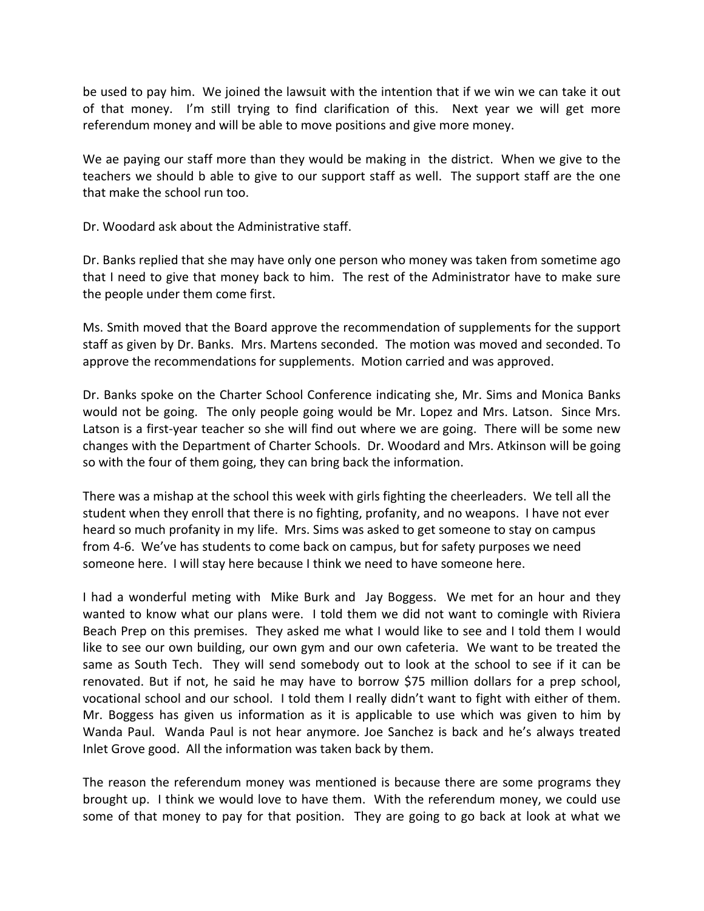be used to pay him. We joined the lawsuit with the intention that if we win we can take it out of that money. I'm still trying to find clarification of this. Next year we will get more referendum money and will be able to move positions and give more money.

We ae paying our staff more than they would be making in the district. When we give to the teachers we should b able to give to our support staff as well. The support staff are the one that make the school run too.

Dr. Woodard ask about the Administrative staff.

Dr. Banks replied that she may have only one person who money was taken from sometime ago that I need to give that money back to him. The rest of the Administrator have to make sure the people under them come first.

Ms. Smith moved that the Board approve the recommendation of supplements for the support staff as given by Dr. Banks. Mrs. Martens seconded. The motion was moved and seconded. To approve the recommendations for supplements. Motion carried and was approved.

Dr. Banks spoke on the Charter School Conference indicating she, Mr. Sims and Monica Banks would not be going. The only people going would be Mr. Lopez and Mrs. Latson. Since Mrs. Latson is a first-year teacher so she will find out where we are going. There will be some new changes with the Department of Charter Schools. Dr. Woodard and Mrs. Atkinson will be going so with the four of them going, they can bring back the information.

There was a mishap at the school this week with girls fighting the cheerleaders. We tell all the student when they enroll that there is no fighting, profanity, and no weapons. I have not ever heard so much profanity in my life. Mrs. Sims was asked to get someone to stay on campus from 4-6. We've has students to come back on campus, but for safety purposes we need someone here. I will stay here because I think we need to have someone here.

I had a wonderful meting with Mike Burk and Jay Boggess. We met for an hour and they wanted to know what our plans were. I told them we did not want to comingle with Riviera Beach Prep on this premises. They asked me what I would like to see and I told them I would like to see our own building, our own gym and our own cafeteria. We want to be treated the same as South Tech. They will send somebody out to look at the school to see if it can be renovated. But if not, he said he may have to borrow \$75 million dollars for a prep school, vocational school and our school. I told them I really didn't want to fight with either of them. Mr. Boggess has given us information as it is applicable to use which was given to him by Wanda Paul. Wanda Paul is not hear anymore. Joe Sanchez is back and he's always treated Inlet Grove good. All the information was taken back by them.

The reason the referendum money was mentioned is because there are some programs they brought up. I think we would love to have them. With the referendum money, we could use some of that money to pay for that position. They are going to go back at look at what we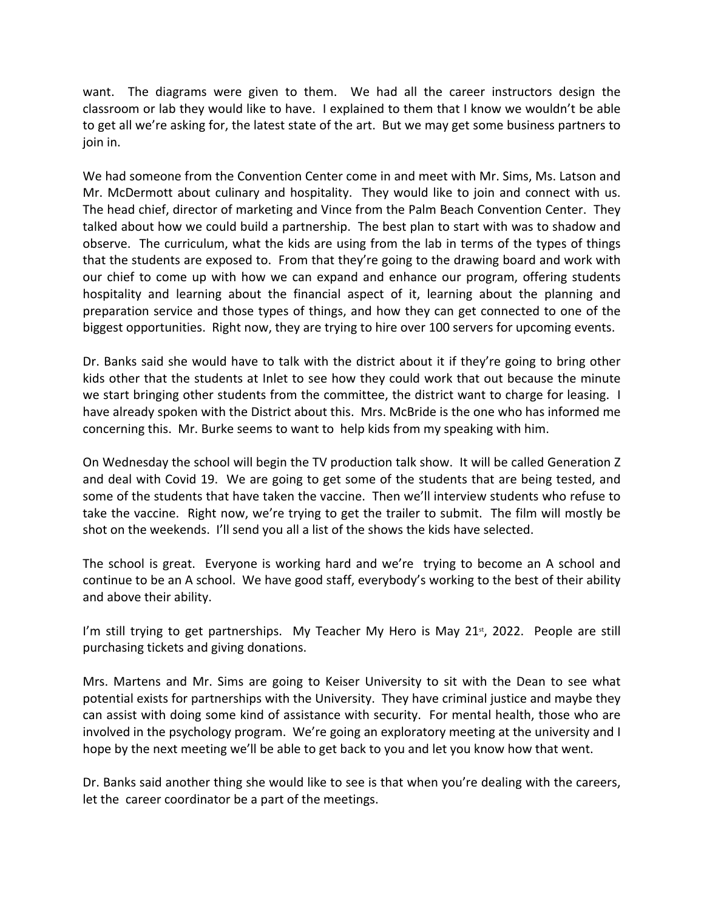want. The diagrams were given to them. We had all the career instructors design the classroom or lab they would like to have. I explained to them that I know we wouldn't be able to get all we're asking for, the latest state of the art. But we may get some business partners to join in.

We had someone from the Convention Center come in and meet with Mr. Sims, Ms. Latson and Mr. McDermott about culinary and hospitality. They would like to join and connect with us. The head chief, director of marketing and Vince from the Palm Beach Convention Center. They talked about how we could build a partnership. The best plan to start with was to shadow and observe. The curriculum, what the kids are using from the lab in terms of the types of things that the students are exposed to. From that they're going to the drawing board and work with our chief to come up with how we can expand and enhance our program, offering students hospitality and learning about the financial aspect of it, learning about the planning and preparation service and those types of things, and how they can get connected to one of the biggest opportunities. Right now, they are trying to hire over 100 servers for upcoming events.

Dr. Banks said she would have to talk with the district about it if they're going to bring other kids other that the students at Inlet to see how they could work that out because the minute we start bringing other students from the committee, the district want to charge for leasing. I have already spoken with the District about this. Mrs. McBride is the one who has informed me concerning this. Mr. Burke seems to want to help kids from my speaking with him.

On Wednesday the school will begin the TV production talk show. It will be called Generation Z and deal with Covid 19. We are going to get some of the students that are being tested, and some of the students that have taken the vaccine. Then we'll interview students who refuse to take the vaccine. Right now, we're trying to get the trailer to submit. The film will mostly be shot on the weekends. I'll send you all a list of the shows the kids have selected.

The school is great. Everyone is working hard and we're trying to become an A school and continue to be an A school. We have good staff, everybody's working to the best of their ability and above their ability.

I'm still trying to get partnerships. My Teacher My Hero is May 21 $st$ , 2022. People are still purchasing tickets and giving donations.

Mrs. Martens and Mr. Sims are going to Keiser University to sit with the Dean to see what potential exists for partnerships with the University. They have criminal justice and maybe they can assist with doing some kind of assistance with security. For mental health, those who are involved in the psychology program. We're going an exploratory meeting at the university and I hope by the next meeting we'll be able to get back to you and let you know how that went.

Dr. Banks said another thing she would like to see is that when you're dealing with the careers, let the career coordinator be a part of the meetings.